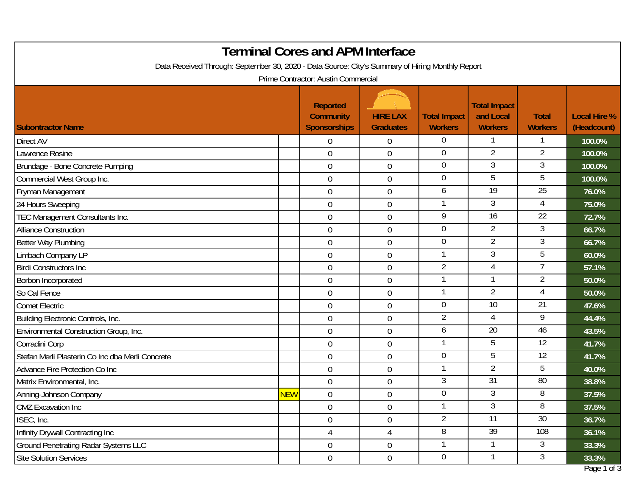|                                                                                                                                         |            | <b>Terminal Cores and APM Interface</b>                    |                                     |                                       |                                                    |                                |                                    |  |
|-----------------------------------------------------------------------------------------------------------------------------------------|------------|------------------------------------------------------------|-------------------------------------|---------------------------------------|----------------------------------------------------|--------------------------------|------------------------------------|--|
| Data Received Through: September 30, 2020 - Data Source: City's Summary of Hiring Monthly Report<br>Prime Contractor: Austin Commercial |            |                                                            |                                     |                                       |                                                    |                                |                                    |  |
|                                                                                                                                         |            |                                                            |                                     |                                       |                                                    |                                |                                    |  |
| <b>Subontractor Name</b>                                                                                                                |            | <b>Reported</b><br><b>Community</b><br><b>Sponsorships</b> | <b>HIRE LAX</b><br><b>Graduates</b> | <b>Total Impact</b><br><b>Workers</b> | <b>Total Impact</b><br>and Local<br><b>Workers</b> | <b>Total</b><br><b>Workers</b> | <b>Local Hire %</b><br>(Headcount) |  |
| <b>Direct AV</b>                                                                                                                        |            | $\overline{0}$                                             | 0                                   | $\overline{0}$                        |                                                    |                                | 100.0%                             |  |
| Lawrence Rosine                                                                                                                         |            | $\overline{0}$                                             | $\mathbf 0$                         | $\overline{0}$                        | $\overline{2}$                                     | 2                              | 100.0%                             |  |
| Brundage - Bone Concrete Pumping                                                                                                        |            | $\overline{0}$                                             | $\boldsymbol{0}$                    | $\overline{0}$                        | 3                                                  | 3                              | 100.0%                             |  |
| Commercial West Group Inc.                                                                                                              |            | $\overline{0}$                                             | 0                                   | $\overline{0}$                        | 5                                                  | 5                              | 100.0%                             |  |
| Fryman Management                                                                                                                       |            | $\mathbf 0$                                                | $\mathbf 0$                         | 6                                     | $\overline{19}$                                    | $\overline{25}$                | 76.0%                              |  |
| 24 Hours Sweeping                                                                                                                       |            | $\overline{0}$                                             | 0                                   | -1                                    | 3                                                  | 4                              | 75.0%                              |  |
| TEC Management Consultants Inc.                                                                                                         |            | $\overline{0}$                                             | $\mathbf 0$                         | 9                                     | $\overline{16}$                                    | $\overline{22}$                | 72.7%                              |  |
| <b>Alliance Construction</b>                                                                                                            |            | $\overline{0}$                                             | $\boldsymbol{0}$                    | $\overline{0}$                        | $\overline{2}$                                     | 3                              | 66.7%                              |  |
| Better Way Plumbing                                                                                                                     |            | $\mathbf 0$                                                | 0                                   | $\overline{0}$                        | $\overline{2}$                                     | $\mathfrak{Z}$                 | 66.7%                              |  |
| Limbach Company LP                                                                                                                      |            | $\mathbf{0}$                                               | $\mathbf 0$                         | $\mathbf{1}$                          | 3                                                  | 5                              | 60.0%                              |  |
| <b>Birdi Constructors Inc.</b>                                                                                                          |            | $\overline{0}$                                             | 0                                   | $\overline{2}$                        | 4                                                  |                                | 57.1%                              |  |
| Borbon Incorporated                                                                                                                     |            | $\overline{0}$                                             | $\boldsymbol{0}$                    | $\mathbf{1}$                          |                                                    | $\overline{2}$                 | 50.0%                              |  |
| So Cal Fence                                                                                                                            |            | $\overline{0}$                                             | $\mathbf 0$                         | $\mathbf{1}$                          | $\overline{2}$                                     | 4                              | 50.0%                              |  |
| <b>Comet Electric</b>                                                                                                                   |            | $\mathbf 0$                                                | 0                                   | $\overline{0}$                        | $\overline{10}$                                    | 21                             | 47.6%                              |  |
| Building Electronic Controls, Inc.                                                                                                      |            | $\overline{0}$                                             | $\boldsymbol{0}$                    | $\overline{2}$                        | 4                                                  | 9                              | 44.4%                              |  |
| Environmental Construction Group, Inc.                                                                                                  |            | $\mathbf 0$                                                | 0                                   | 6                                     | $\overline{20}$                                    | 46                             | 43.5%                              |  |
| Corradini Corp                                                                                                                          |            | $\mathbf 0$                                                | $\mathbf 0$                         | $\mathbf{1}$                          | 5                                                  | 12                             | 41.7%                              |  |
| Stefan Merli Plasterin Co Inc dba Merli Concrete                                                                                        |            | $\mathbf 0$                                                | 0                                   | $\mathbf 0$                           | 5                                                  | 12                             | 41.7%                              |  |
| Advance Fire Protection Co Inc                                                                                                          |            | $\overline{0}$                                             | $\boldsymbol{0}$                    | -1                                    | 2                                                  | 5                              | 40.0%                              |  |
| Matrix Environmental, Inc.                                                                                                              |            | $\mathbf 0$                                                | 0                                   | 3                                     | 31                                                 | 80                             | 38.8%                              |  |
| Anning-Johnson Company                                                                                                                  | <b>NEW</b> | $\mathbf 0$                                                | $\mathbf 0$                         | $\overline{0}$                        | 3                                                  | 8                              | 37.5%                              |  |
| <b>CMZ</b> Excavation Inc                                                                                                               |            | $\overline{0}$                                             | $\boldsymbol{0}$                    | -1                                    | 3                                                  | 8                              | 37.5%                              |  |
| ISEC, Inc.                                                                                                                              |            | $\boldsymbol{0}$                                           | $\boldsymbol{0}$                    | $\overline{2}$                        | 11                                                 | 30                             | 36.7%                              |  |
| Infinity Drywall Contracting Inc                                                                                                        |            | 4                                                          | $\overline{4}$                      | 8                                     | $\overline{39}$                                    | 108                            | 36.1%                              |  |
| <b>Ground Penetrating Radar Systems LLC</b>                                                                                             |            | $\overline{0}$                                             | $\boldsymbol{0}$                    | -1                                    |                                                    | 3                              | 33.3%                              |  |
| <b>Site Solution Services</b>                                                                                                           |            | $\overline{0}$                                             | $\boldsymbol{0}$                    | $\overline{0}$                        |                                                    | 3                              | 33.3%                              |  |
|                                                                                                                                         |            |                                                            |                                     |                                       |                                                    |                                | Page 1 of 3                        |  |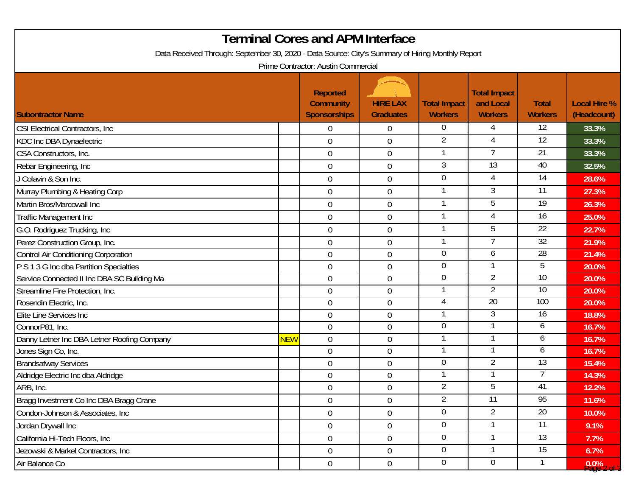| <b>Terminal Cores and APM Interface</b>                                                          |            |                                                            |                                     |                                       |                                                    |                                |                                    |  |
|--------------------------------------------------------------------------------------------------|------------|------------------------------------------------------------|-------------------------------------|---------------------------------------|----------------------------------------------------|--------------------------------|------------------------------------|--|
| Data Received Through: September 30, 2020 - Data Source: City's Summary of Hiring Monthly Report |            |                                                            |                                     |                                       |                                                    |                                |                                    |  |
| Prime Contractor: Austin Commercial                                                              |            |                                                            |                                     |                                       |                                                    |                                |                                    |  |
| <b>Subontractor Name</b>                                                                         |            | <b>Reported</b><br><b>Community</b><br><b>Sponsorships</b> | <b>HIRE LAX</b><br><b>Graduates</b> | <b>Total Impact</b><br><b>Workers</b> | <b>Total Impact</b><br>and Local<br><b>Workers</b> | <b>Total</b><br><b>Workers</b> | <b>Local Hire %</b><br>(Headcount) |  |
| CSI Electrical Contractors, Inc.                                                                 |            | $\overline{0}$                                             | $\overline{0}$                      | 0                                     | 4                                                  | 12                             | 33.3%                              |  |
| KDC Inc DBA Dynaelectric                                                                         |            | $\mathbf 0$                                                | $\theta$                            | 2                                     | 4                                                  | $\overline{12}$                | 33.3%                              |  |
| CSA Constructors, Inc.                                                                           |            | $\boldsymbol{0}$                                           | $\boldsymbol{0}$                    |                                       | $\overline{7}$                                     | $\overline{21}$                | 33.3%                              |  |
| Rebar Engineering, Inc                                                                           |            | $\mathbf 0$                                                | $\overline{0}$                      | 3                                     | $\overline{13}$                                    | 40                             | 32.5%                              |  |
| J Colavin & Son Inc.                                                                             |            | $\overline{0}$                                             | $\boldsymbol{0}$                    | $\mathbf 0$                           | 4                                                  | 14                             | 28.6%                              |  |
| Murray Plumbing & Heating Corp                                                                   |            | $\mathbf 0$                                                | $\boldsymbol{0}$                    |                                       | 3                                                  | 11                             | 27.3%                              |  |
| Martin Bros/Marcowall Inc                                                                        |            | $\boldsymbol{0}$                                           | $\overline{0}$                      |                                       | 5                                                  | 19                             | 26.3%                              |  |
| Traffic Management Inc                                                                           |            | $\mathbf 0$                                                | $\overline{0}$                      | $\mathbf{1}$                          | 4                                                  | 16                             | 25.0%                              |  |
| G.O. Rodriguez Trucking, Inc                                                                     |            | $\overline{0}$                                             | $\overline{0}$                      |                                       | 5                                                  | 22                             | 22.7%                              |  |
| Perez Construction Group, Inc.                                                                   |            | $\mathbf 0$                                                | $\theta$                            |                                       |                                                    | $\overline{32}$                | 21.9%                              |  |
| Control Air Conditioning Corporation                                                             |            | $\mathbf 0$                                                | $\overline{0}$                      | $\overline{0}$                        | 6                                                  | 28                             | 21.4%                              |  |
| P S 1 3 G Inc dba Partition Specialties                                                          |            | $\mathbf 0$                                                | $\theta$                            | 0                                     |                                                    | 5                              | 20.0%                              |  |
| Service Connected II Inc DBA SC Building Ma                                                      |            | $\boldsymbol{0}$                                           | $\overline{0}$                      | 0                                     | $\overline{2}$                                     | 10                             | 20.0%                              |  |
| Streamline Fire Protection, Inc.                                                                 |            | $\mathbf 0$                                                | $\overline{0}$                      |                                       | 2                                                  | 10                             | 20.0%                              |  |
| Rosendin Electric, Inc.                                                                          |            | $\mathbf 0$                                                | $\overline{0}$                      | 4                                     | 20                                                 | 100                            | 20.0%                              |  |
| Elite Line Services Inc                                                                          |            | $\boldsymbol{0}$                                           | $\theta$                            |                                       | 3                                                  | 16                             | 18.8%                              |  |
| ConnorP81, Inc.                                                                                  |            | $\mathbf 0$                                                | $\overline{0}$                      | 0                                     |                                                    | 6                              | 16.7%                              |  |
| Danny Letner Inc DBA Letner Roofing Company                                                      | <b>NEW</b> | $\mathbf 0$                                                | $\overline{0}$                      |                                       |                                                    | 6                              | 16.7%                              |  |
| Jones Sign Co, Inc.                                                                              |            | $\mathbf 0$                                                | $\overline{0}$                      |                                       |                                                    | 6                              | 16.7%                              |  |
| <b>Brandsafway Services</b>                                                                      |            | $\mathbf 0$                                                | $\overline{0}$                      | $\overline{0}$                        | 2                                                  | 13                             | 15.4%                              |  |
| Aldridge Electric Inc dba Aldridge                                                               |            | $\boldsymbol{0}$                                           | $\boldsymbol{0}$                    |                                       |                                                    |                                | 14.3%                              |  |
| ARB, Inc.                                                                                        |            | $\pmb{0}$                                                  | $\overline{0}$                      | $\mathcal{P}$                         | 5                                                  | 41                             | 12.2%                              |  |
| Bragg Investment Co Inc DBA Bragg Crane                                                          |            | $\overline{0}$                                             | $\overline{0}$                      | $\overline{2}$                        | $\overline{11}$                                    | 95                             | 11.6%                              |  |
| Condon-Johnson & Associates, Inc.                                                                |            | $\overline{0}$                                             | $\overline{0}$                      | $\overline{0}$                        | $\overline{2}$                                     | 20                             | 10.0%                              |  |
| Jordan Drywall Inc                                                                               |            | $\overline{0}$                                             | $\boldsymbol{0}$                    | 0                                     |                                                    | 11                             | 9.1%                               |  |
| California Hi-Tech Floors, Inc                                                                   |            | $\mathbf 0$                                                | $\overline{0}$                      | $\overline{0}$                        |                                                    | $\overline{13}$                | 7.7%                               |  |
| Jezowski & Markel Contractors, Inc                                                               |            | $\overline{0}$                                             | $\overline{0}$                      | $\overline{0}$                        | -1                                                 | 15                             | 6.7%                               |  |
| Air Balance Co                                                                                   |            | $\boldsymbol{0}$                                           | $\boldsymbol{0}$                    | $\overline{0}$                        | $\overline{0}$                                     |                                | $9.0\%$ 2 of                       |  |